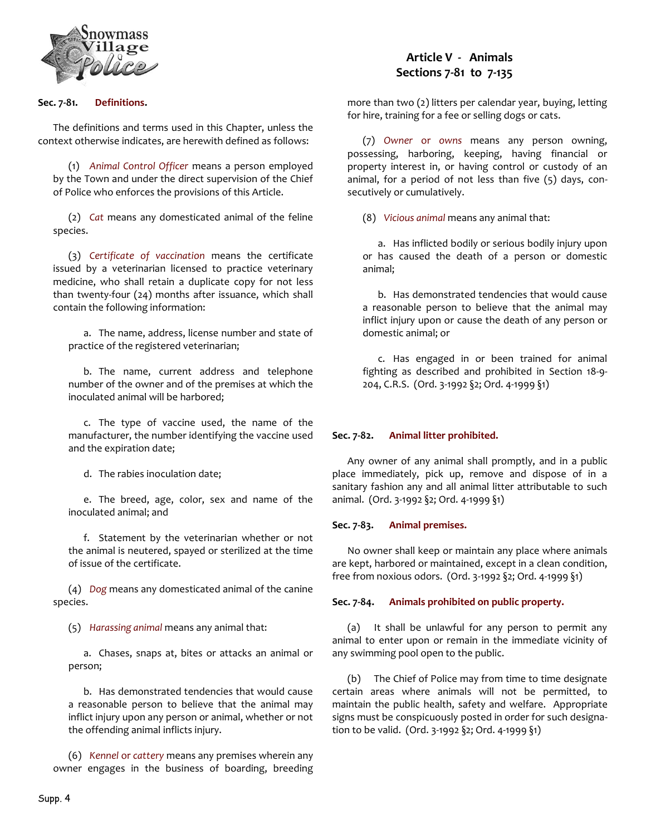

# **Sec. 7-81. Definitions.**

The definitions and terms used in this Chapter, unless the context otherwise indicates, are herewith defined as follows:

(1) *Animal Control Officer* means a person employed by the Town and under the direct supervision of the Chief of Police who enforces the provisions of this Article.

(2) *Cat* means any domesticated animal of the feline species.

(3) *Certificate of vaccination* means the certificate issued by a veterinarian licensed to practice veterinary medicine, who shall retain a duplicate copy for not less than twenty-four (24) months after issuance, which shall contain the following information:

a. The name, address, license number and state of practice of the registered veterinarian;

b. The name, current address and telephone number of the owner and of the premises at which the inoculated animal will be harbored;

c. The type of vaccine used, the name of the manufacturer, the number identifying the vaccine used and the expiration date;

d. The rabies inoculation date;

e. The breed, age, color, sex and name of the inoculated animal; and

f. Statement by the veterinarian whether or not the animal is neutered, spayed or sterilized at the time of issue of the certificate.

(4) *Dog* means any domesticated animal of the canine species.

(5) *Harassing animal* means any animal that:

a. Chases, snaps at, bites or attacks an animal or person;

b. Has demonstrated tendencies that would cause a reasonable person to believe that the animal may inflict injury upon any person or animal, whether or not the offending animal inflicts injury.

(6) *Kennel* or *cattery* means any premises wherein any owner engages in the business of boarding, breeding

# **Article V - Animals Sections 7-81 to 7-135**

more than two (2) litters per calendar year, buying, letting for hire, training for a fee or selling dogs or cats.

(7) *Owner* or *owns* means any person owning, possessing, harboring, keeping, having financial or property interest in, or having control or custody of an animal, for a period of not less than five (5) days, consecutively or cumulatively.

(8) *Vicious animal* means any animal that:

a. Has inflicted bodily or serious bodily injury upon or has caused the death of a person or domestic animal;

b. Has demonstrated tendencies that would cause a reasonable person to believe that the animal may inflict injury upon or cause the death of any person or domestic animal; or

c. Has engaged in or been trained for animal fighting as described and prohibited in Section 18-9- 204, C.R.S. (Ord. 3-1992 §2; Ord. 4-1999 §1)

# **Sec. 7-82. Animal litter prohibited.**

Any owner of any animal shall promptly, and in a public place immediately, pick up, remove and dispose of in a sanitary fashion any and all animal litter attributable to such animal. (Ord. 3-1992 §2; Ord. 4-1999 §1)

#### **Sec. 7-83. Animal premises.**

No owner shall keep or maintain any place where animals are kept, harbored or maintained, except in a clean condition, free from noxious odors. (Ord. 3-1992 §2; Ord. 4-1999 §1)

#### **Sec. 7-84. Animals prohibited on public property.**

(a) It shall be unlawful for any person to permit any animal to enter upon or remain in the immediate vicinity of any swimming pool open to the public.

(b) The Chief of Police may from time to time designate certain areas where animals will not be permitted, to maintain the public health, safety and welfare. Appropriate signs must be conspicuously posted in order for such designation to be valid. (Ord. 3-1992 §2; Ord. 4-1999 §1)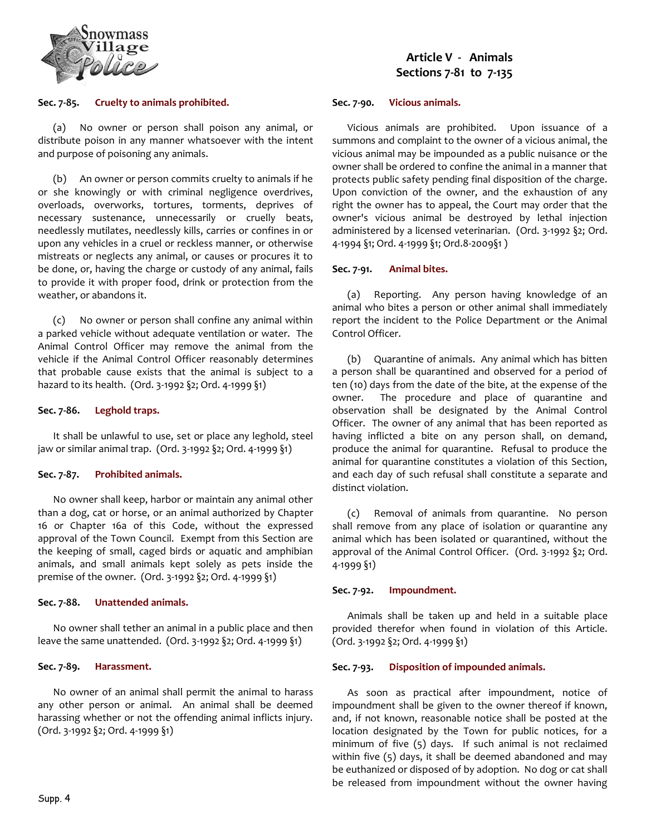

#### **Sec. 7-85. Cruelty to animals prohibited.**

(a) No owner or person shall poison any animal, or distribute poison in any manner whatsoever with the intent and purpose of poisoning any animals.

(b) An owner or person commits cruelty to animals if he or she knowingly or with criminal negligence overdrives, overloads, overworks, tortures, torments, deprives of necessary sustenance, unnecessarily or cruelly beats, needlessly mutilates, needlessly kills, carries or confines in or upon any vehicles in a cruel or reckless manner, or otherwise mistreats or neglects any animal, or causes or procures it to be done, or, having the charge or custody of any animal, fails to provide it with proper food, drink or protection from the weather, or abandons it.

(c) No owner or person shall confine any animal within a parked vehicle without adequate ventilation or water. The Animal Control Officer may remove the animal from the vehicle if the Animal Control Officer reasonably determines that probable cause exists that the animal is subject to a hazard to its health. (Ord. 3-1992 §2; Ord. 4-1999 §1)

# **Sec. 7-86. Leghold traps.**

It shall be unlawful to use, set or place any leghold, steel jaw or similar animal trap. (Ord. 3-1992 §2; Ord. 4-1999 §1)

#### **Sec. 7-87. Prohibited animals.**

No owner shall keep, harbor or maintain any animal other than a dog, cat or horse, or an animal authorized by Chapter 16 or Chapter 16a of this Code, without the expressed approval of the Town Council. Exempt from this Section are the keeping of small, caged birds or aquatic and amphibian animals, and small animals kept solely as pets inside the premise of the owner. (Ord. 3-1992 §2; Ord. 4-1999 §1)

#### **Sec. 7-88. Unattended animals.**

No owner shall tether an animal in a public place and then leave the same unattended. (Ord. 3-1992 §2; Ord. 4-1999 §1)

#### **Sec. 7-89. Harassment.**

No owner of an animal shall permit the animal to harass any other person or animal. An animal shall be deemed harassing whether or not the offending animal inflicts injury. (Ord. 3-1992 §2; Ord. 4-1999 §1)

# **Sec. 7-90. Vicious animals.**

Vicious animals are prohibited. Upon issuance of a summons and complaint to the owner of a vicious animal, the vicious animal may be impounded as a public nuisance or the owner shall be ordered to confine the animal in a manner that protects public safety pending final disposition of the charge. Upon conviction of the owner, and the exhaustion of any right the owner has to appeal, the Court may order that the owner's vicious animal be destroyed by lethal injection administered by a licensed veterinarian. (Ord. 3-1992 §2; Ord. 4-1994 §1; Ord. 4-1999 §1; Ord.8-2009§1 )

# **Sec. 7-91. Animal bites.**

(a) Reporting. Any person having knowledge of an animal who bites a person or other animal shall immediately report the incident to the Police Department or the Animal Control Officer.

(b) Quarantine of animals. Any animal which has bitten a person shall be quarantined and observed for a period of ten (10) days from the date of the bite, at the expense of the owner. The procedure and place of quarantine and observation shall be designated by the Animal Control Officer. The owner of any animal that has been reported as having inflicted a bite on any person shall, on demand, produce the animal for quarantine. Refusal to produce the animal for quarantine constitutes a violation of this Section, and each day of such refusal shall constitute a separate and distinct violation.

(c) Removal of animals from quarantine. No person shall remove from any place of isolation or quarantine any animal which has been isolated or quarantined, without the approval of the Animal Control Officer. (Ord. 3-1992 §2; Ord. 4-1999 §1)

# **Sec. 7-92. Impoundment.**

Animals shall be taken up and held in a suitable place provided therefor when found in violation of this Article. (Ord. 3-1992 §2; Ord. 4-1999 §1)

# **Sec. 7-93. Disposition of impounded animals.**

As soon as practical after impoundment, notice of impoundment shall be given to the owner thereof if known, and, if not known, reasonable notice shall be posted at the location designated by the Town for public notices, for a minimum of five (5) days. If such animal is not reclaimed within five (5) days, it shall be deemed abandoned and may be euthanized or disposed of by adoption. No dog or cat shall be released from impoundment without the owner having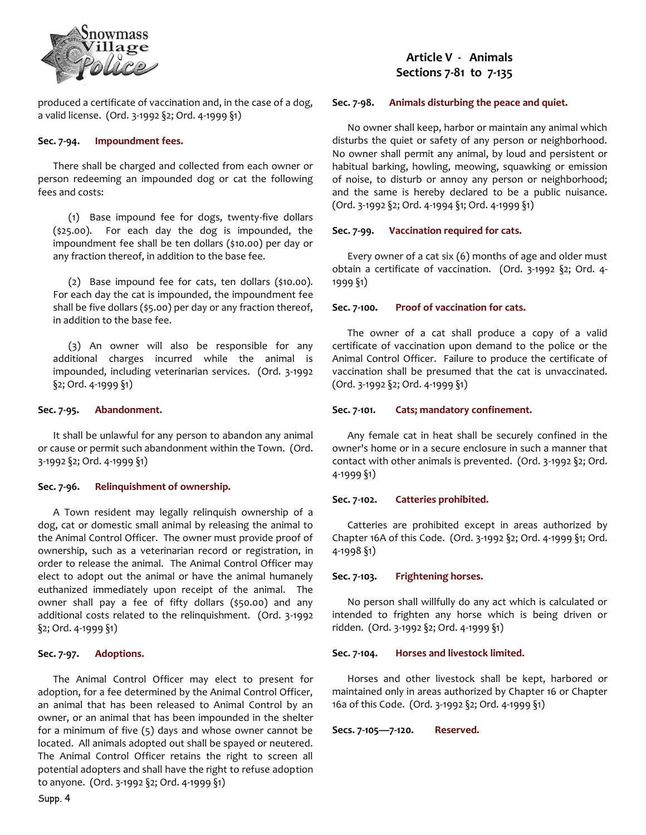

produced a certificate of vaccination and, in the case of a dog, a valid license. (Ord. 3-1992 §2; Ord. 4-1999 §1)

#### **Sec. 7-94. Impoundment fees.**

There shall be charged and collected from each owner or person redeeming an impounded dog or cat the following fees and costs:

(1) Base impound fee for dogs, twenty-five dollars (\$25.00). For each day the dog is impounded, the impoundment fee shall be ten dollars (\$10.00) per day or any fraction thereof, in addition to the base fee.

(2) Base impound fee for cats, ten dollars (\$10.00). For each day the cat is impounded, the impoundment fee shall be five dollars (\$5.00) per day or any fraction thereof, in addition to the base fee.

(3) An owner will also be responsible for any additional charges incurred while the animal is impounded, including veterinarian services. (Ord. 3-1992 §2; Ord. 4-1999 §1)

# **Sec. 7-95. Abandonment.**

It shall be unlawful for any person to abandon any animal or cause or permit such abandonment within the Town. (Ord. 3-1992 §2; Ord. 4-1999 §1)

# **Sec. 7-96. Relinquishment of ownership.**

A Town resident may legally relinquish ownership of a dog, cat or domestic small animal by releasing the animal to the Animal Control Officer. The owner must provide proof of ownership, such as a veterinarian record or registration, in order to release the animal. The Animal Control Officer may elect to adopt out the animal or have the animal humanely euthanized immediately upon receipt of the animal. The owner shall pay a fee of fifty dollars (\$50.00) and any additional costs related to the relinquishment. (Ord. 3-1992 §2; Ord. 4-1999 §1)

#### **Sec. 7-97. Adoptions.**

The Animal Control Officer may elect to present for adoption, for a fee determined by the Animal Control Officer, an animal that has been released to Animal Control by an owner, or an animal that has been impounded in the shelter for a minimum of five (5) days and whose owner cannot be located. All animals adopted out shall be spayed or neutered. The Animal Control Officer retains the right to screen all potential adopters and shall have the right to refuse adoption to anyone. (Ord. 3-1992 §2; Ord. 4-1999 §1)

# **Article V - Animals Sections 7-81 to 7-135**

#### **Sec. 7-98. Animals disturbing the peace and quiet.**

No owner shall keep, harbor or maintain any animal which disturbs the quiet or safety of any person or neighborhood. No owner shall permit any animal, by loud and persistent or habitual barking, howling, meowing, squawking or emission of noise, to disturb or annoy any person or neighborhood; and the same is hereby declared to be a public nuisance. (Ord. 3-1992 §2; Ord. 4-1994 §1; Ord. 4-1999 §1)

#### **Sec. 7-99. Vaccination required for cats.**

Every owner of a cat six (6) months of age and older must obtain a certificate of vaccination. (Ord. 3-1992 §2; Ord. 4- 1999 §1)

# **Sec. 7-100. Proof of vaccination for cats.**

The owner of a cat shall produce a copy of a valid certificate of vaccination upon demand to the police or the Animal Control Officer. Failure to produce the certificate of vaccination shall be presumed that the cat is unvaccinated. (Ord. 3-1992 §2; Ord. 4-1999 §1)

#### **Sec. 7-101. Cats; mandatory confinement.**

Any female cat in heat shall be securely confined in the owner's home or in a secure enclosure in such a manner that contact with other animals is prevented. (Ord. 3-1992 §2; Ord. 4-1999 §1)

#### **Sec. 7-102. Catteries prohibited.**

Catteries are prohibited except in areas authorized by Chapter 16A of this Code. (Ord. 3-1992 §2; Ord. 4-1999 §1; Ord. 4-1998 §1)

#### **Sec. 7-103. Frightening horses.**

No person shall willfully do any act which is calculated or intended to frighten any horse which is being driven or ridden. (Ord. 3-1992 §2; Ord. 4-1999 §1)

#### **Sec. 7-104. Horses and livestock limited.**

Horses and other livestock shall be kept, harbored or maintained only in areas authorized by Chapter 16 or Chapter 16a of this Code. (Ord. 3-1992 §2; Ord. 4-1999 §1)

**Secs. 7-105—7-120. Reserved.**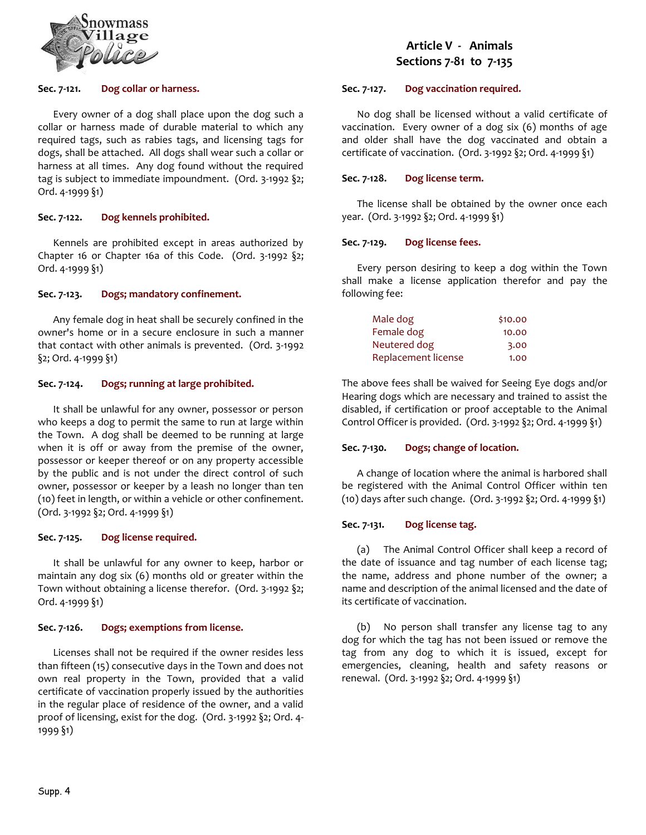

#### **Sec. 7-121. Dog collar or harness.**

Every owner of a dog shall place upon the dog such a collar or harness made of durable material to which any required tags, such as rabies tags, and licensing tags for dogs, shall be attached. All dogs shall wear such a collar or harness at all times. Any dog found without the required tag is subject to immediate impoundment. (Ord. 3-1992 §2; Ord. 4-1999 §1)

#### **Sec. 7-122. Dog kennels prohibited.**

Kennels are prohibited except in areas authorized by Chapter 16 or Chapter 16a of this Code. (Ord. 3-1992 §2; Ord. 4-1999 §1)

# **Sec. 7-123. Dogs; mandatory confinement.**

Any female dog in heat shall be securely confined in the owner's home or in a secure enclosure in such a manner that contact with other animals is prevented. (Ord. 3-1992 §2; Ord. 4-1999 §1)

#### **Sec. 7-124. Dogs; running at large prohibited.**

It shall be unlawful for any owner, possessor or person who keeps a dog to permit the same to run at large within the Town. A dog shall be deemed to be running at large when it is off or away from the premise of the owner, possessor or keeper thereof or on any property accessible by the public and is not under the direct control of such owner, possessor or keeper by a leash no longer than ten (10) feet in length, or within a vehicle or other confinement. (Ord. 3-1992 §2; Ord. 4-1999 §1)

#### **Sec. 7-125. Dog license required.**

It shall be unlawful for any owner to keep, harbor or maintain any dog six (6) months old or greater within the Town without obtaining a license therefor. (Ord. 3-1992 §2; Ord. 4-1999 §1)

#### **Sec. 7-126. Dogs; exemptions from license.**

Licenses shall not be required if the owner resides less than fifteen (15) consecutive days in the Town and does not own real property in the Town, provided that a valid certificate of vaccination properly issued by the authorities in the regular place of residence of the owner, and a valid proof of licensing, exist for the dog. (Ord. 3-1992 §2; Ord. 4- 1999 §1)

# **Article V - Animals Sections 7-81 to 7-135**

# **Sec. 7-127. Dog vaccination required.**

No dog shall be licensed without a valid certificate of vaccination. Every owner of a dog six (6) months of age and older shall have the dog vaccinated and obtain a certificate of vaccination. (Ord. 3-1992 §2; Ord. 4-1999 §1)

#### **Sec. 7-128. Dog license term.**

The license shall be obtained by the owner once each year. (Ord. 3-1992 §2; Ord. 4-1999 §1)

# **Sec. 7-129. Dog license fees.**

Every person desiring to keep a dog within the Town shall make a license application therefor and pay the following fee:

| Male dog            | \$10.00 |
|---------------------|---------|
| Female dog          | 10.00   |
| Neutered dog        | 3.00    |
| Replacement license | 1.00    |

The above fees shall be waived for Seeing Eye dogs and/or Hearing dogs which are necessary and trained to assist the disabled, if certification or proof acceptable to the Animal Control Officer is provided. (Ord. 3-1992 §2; Ord. 4-1999 §1)

# **Sec. 7-130. Dogs; change of location.**

A change of location where the animal is harbored shall be registered with the Animal Control Officer within ten (10) days after such change. (Ord. 3-1992 §2; Ord. 4-1999 §1)

# **Sec. 7-131. Dog license tag.**

(a) The Animal Control Officer shall keep a record of the date of issuance and tag number of each license tag; the name, address and phone number of the owner; a name and description of the animal licensed and the date of its certificate of vaccination.

(b) No person shall transfer any license tag to any dog for which the tag has not been issued or remove the tag from any dog to which it is issued, except for emergencies, cleaning, health and safety reasons or renewal. (Ord. 3-1992 §2; Ord. 4-1999 §1)